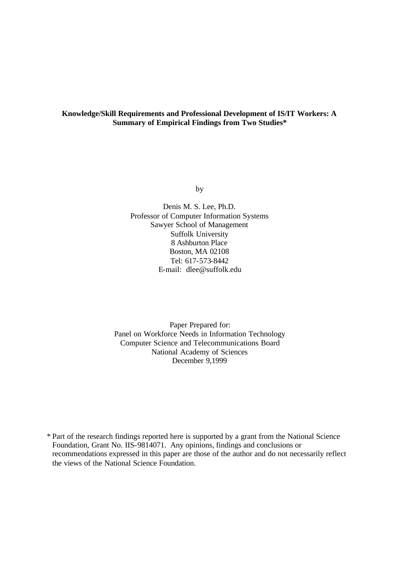# **Knowledge/Skill Requirements and Professional Development of IS/IT Workers: A Summary of Empirical Findings from Two Studies\***

by

Denis M. S. Lee, Ph.D. Professor of Computer Information Systems Sawyer School of Management Suffolk University 8 Ashburton Place Boston, MA 02108 Tel: 617-573-8442 E-mail: dlee@suffolk.edu

Paper Prepared for: Panel on Workforce Needs in Information Technology Computer Science and Telecommunications Board National Academy of Sciences December 9,1999

\* Part of the research findings reported here is supported by a grant from the National Science Foundation, Grant No. IIS-9814071. Any opinions, findings and conclusions or recommendations expressed in this paper are those of the author and do not necessarily reflect the views of the National Science Foundation.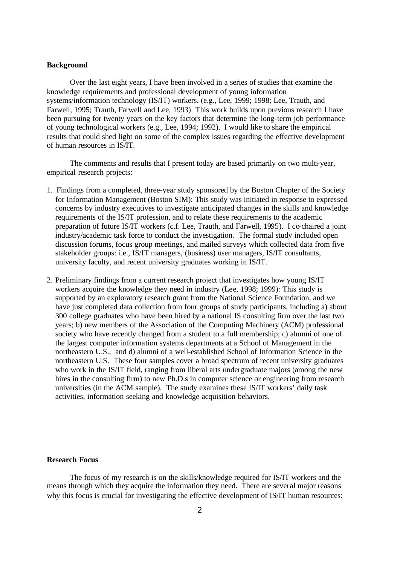### **Background**

Over the last eight years, I have been involved in a series of studies that examine the knowledge requirements and professional development of young information systems/information technology (IS/IT) workers. (e.g., Lee, 1999; 1998; Lee, Trauth, and Farwell, 1995; Trauth, Farwell and Lee, 1993) This work builds upon previous research I have been pursuing for twenty years on the key factors that determine the long-term job performance of young technological workers (e.g., Lee, 1994; 1992). I would like to share the empirical results that could shed light on some of the complex issues regarding the effective development of human resources in IS/IT.

The comments and results that I present today are based primarily on two multi-year, empirical research projects:

- 1. Findings from a completed, three-year study sponsored by the Boston Chapter of the Society for Information Management (Boston SIM): This study was initiated in response to expressed concerns by industry executives to investigate anticipated changes in the skills and knowledge requirements of the IS/IT profession, and to relate these requirements to the academic preparation of future IS/IT workers (c.f. Lee, Trauth, and Farwell, 1995). I co-chaired a joint industry/academic task force to conduct the investigation. The formal study included open discussion forums, focus group meetings, and mailed surveys which collected data from five stakeholder groups: i.e., IS/IT managers, (business) user managers, IS/IT consultants, university faculty, and recent university graduates working in IS/IT.
- 2. Preliminary findings from a current research project that investigates how young IS/IT workers acquire the knowledge they need in industry (Lee, 1998; 1999): This study is supported by an exploratory research grant from the National Science Foundation, and we have just completed data collection from four groups of study participants, including a) about 300 college graduates who have been hired by a national IS consulting firm over the last two years; b) new members of the Association of the Computing Machinery (ACM) professional society who have recently changed from a student to a full membership; c) alumni of one of the largest computer information systems departments at a School of Management in the northeastern U.S., and d) alumni of a well-established School of Information Science in the northeastern U.S. These four samples cover a broad spectrum of recent university graduates who work in the IS/IT field, ranging from liberal arts undergraduate majors (among the new hires in the consulting firm) to new Ph.D.s in computer science or engineering from research universities (in the ACM sample). The study examines these IS/IT workers' daily task activities, information seeking and knowledge acquisition behaviors.

#### **Research Focus**

The focus of my research is on the skills/knowledge required for IS/IT workers and the means through which they acquire the information they need. There are several major reasons why this focus is crucial for investigating the effective development of IS/IT human resources: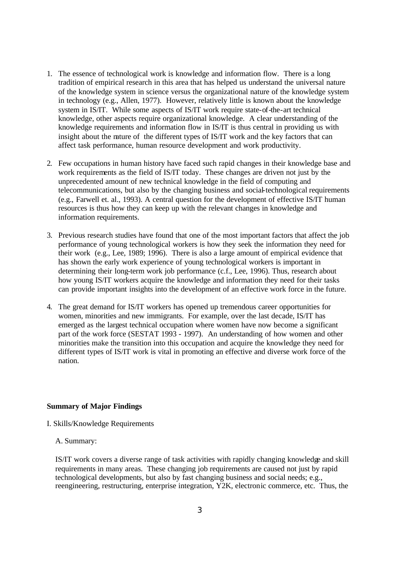- 1. The essence of technological work is knowledge and information flow. There is a long tradition of empirical research in this area that has helped us understand the universal nature of the knowledge system in science versus the organizational nature of the knowledge system in technology (e.g., Allen, 1977). However, relatively little is known about the knowledge system in IS/IT. While some aspects of IS/IT work require state-of-the-art technical knowledge, other aspects require organizational knowledge. A clear understanding of the knowledge requirements and information flow in IS/IT is thus central in providing us with insight about the nature of the different types of IS/IT work and the key factors that can affect task performance, human resource development and work productivity.
- 2. Few occupations in human history have faced such rapid changes in their knowledge base and work requirements as the field of IS/IT today. These changes are driven not just by the unprecedented amount of new technical knowledge in the field of computing and telecommunications, but also by the changing business and social-technological requirements (e.g., Farwell et. al., 1993). A central question for the development of effective IS/IT human resources is thus how they can keep up with the relevant changes in knowledge and information requirements.
- 3. Previous research studies have found that one of the most important factors that affect the job performance of young technological workers is how they seek the information they need for their work (e.g., Lee, 1989; 1996). There is also a large amount of empirical evidence that has shown the early work experience of young technological workers is important in determining their long-term work job performance (c.f., Lee, 1996). Thus, research about how young IS/IT workers acquire the knowledge and information they need for their tasks can provide important insights into the development of an effective work force in the future.
- 4. The great demand for IS/IT workers has opened up tremendous career opportunities for women, minorities and new immigrants. For example, over the last decade, IS/IT has emerged as the largest technical occupation where women have now become a significant part of the work force (SESTAT 1993 - 1997). An understanding of how women and other minorities make the transition into this occupation and acquire the knowledge they need for different types of IS/IT work is vital in promoting an effective and diverse work force of the nation.

#### **Summary of Major Findings**

- I. Skills/Knowledge Requirements
	- A. Summary:

IS/IT work covers a diverse range of task activities with rapidly changing knowledge and skill requirements in many areas. These changing job requirements are caused not just by rapid technological developments, but also by fast changing business and social needs; e.g., reengineering, restructuring, enterprise integration, Y2K, electronic commerce, etc. Thus, the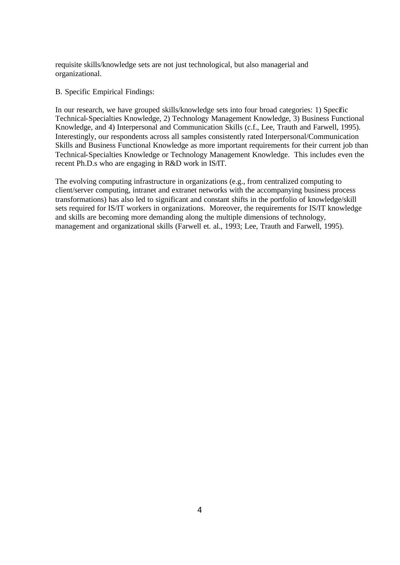requisite skills/knowledge sets are not just technological, but also managerial and organizational.

B. Specific Empirical Findings:

In our research, we have grouped skills/knowledge sets into four broad categories: 1) Specific Technical-Specialties Knowledge, 2) Technology Management Knowledge, 3) Business Functional Knowledge, and 4) Interpersonal and Communication Skills (c.f., Lee, Trauth and Farwell, 1995). Interestingly, our respondents across all samples consistently rated Interpersonal/Communication Skills and Business Functional Knowledge as more important requirements for their current job than Technical-Specialties Knowledge or Technology Management Knowledge. This includes even the recent Ph.D.s who are engaging in R&D work in IS/IT.

The evolving computing infrastructure in organizations (e.g., from centralized computing to client/server computing, intranet and extranet networks with the accompanying business process transformations) has also led to significant and constant shifts in the portfolio of knowledge/skill sets required for IS/IT workers in organizations. Moreover, the requirements for IS/IT knowledge and skills are becoming more demanding along the multiple dimensions of technology, management and organizational skills (Farwell et. al., 1993; Lee, Trauth and Farwell, 1995).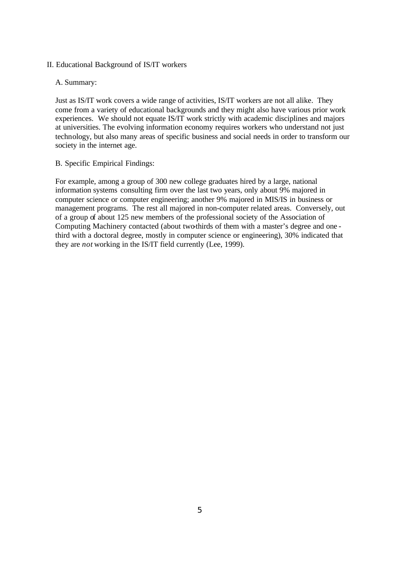- II. Educational Background of IS/IT workers
	- A. Summary:

Just as IS/IT work covers a wide range of activities, IS/IT workers are not all alike. They come from a variety of educational backgrounds and they might also have various prior work experiences. We should not equate IS/IT work strictly with academic disciplines and majors at universities. The evolving information economy requires workers who understand not just technology, but also many areas of specific business and social needs in order to transform our society in the internet age.

B. Specific Empirical Findings:

For example, among a group of 300 new college graduates hired by a large, national information systems consulting firm over the last two years, only about 9% majored in computer science or computer engineering; another 9% majored in MIS/IS in business or management programs. The rest all majored in non-computer related areas. Conversely, out of a group of about 125 new members of the professional society of the Association of Computing Machinery contacted (about two-thirds of them with a master's degree and one third with a doctoral degree, mostly in computer science or engineering), 30% indicated that they are *not* working in the IS/IT field currently (Lee, 1999).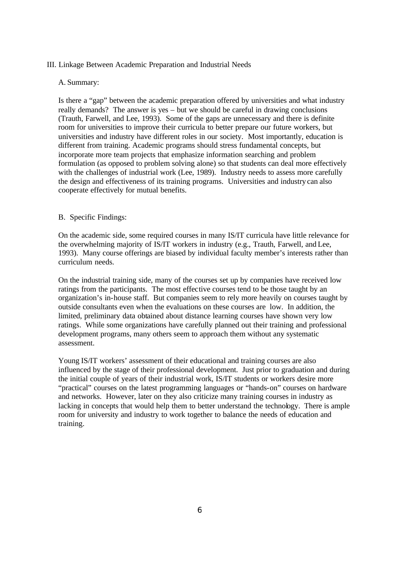# III. Linkage Between Academic Preparation and Industrial Needs

# A. Summary:

Is there a "gap" between the academic preparation offered by universities and what industry really demands? The answer is yes – but we should be careful in drawing conclusions (Trauth, Farwell, and Lee, 1993). Some of the gaps are unnecessary and there is definite room for universities to improve their curricula to better prepare our future workers, but universities and industry have different roles in our society. Most importantly, education is different from training. Academic programs should stress fundamental concepts, but incorporate more team projects that emphasize information searching and problem formulation (as opposed to problem solving alone) so that students can deal more effectively with the challenges of industrial work (Lee, 1989). Industry needs to assess more carefully the design and effectiveness of its training programs. Universities and industry can also cooperate effectively for mutual benefits.

# B. Specific Findings:

On the academic side, some required courses in many IS/IT curricula have little relevance for the overwhelming majority of IS/IT workers in industry (e.g., Trauth, Farwell, and Lee, 1993). Many course offerings are biased by individual faculty member's interests rather than curriculum needs.

On the industrial training side, many of the courses set up by companies have received low ratings from the participants. The most effective courses tend to be those taught by an organization's in-house staff. But companies seem to rely more heavily on courses taught by outside consultants even when the evaluations on these courses are low. In addition, the limited, preliminary data obtained about distance learning courses have shown very low ratings. While some organizations have carefully planned out their training and professional development programs, many others seem to approach them without any systematic assessment.

Young IS/IT workers' assessment of their educational and training courses are also influenced by the stage of their professional development. Just prior to graduation and during the initial couple of years of their industrial work, IS/IT students or workers desire more "practical" courses on the latest programming languages or "hands-on" courses on hardware and networks. However, later on they also criticize many training courses in industry as lacking in concepts that would help them to better understand the technology. There is ample room for university and industry to work together to balance the needs of education and training.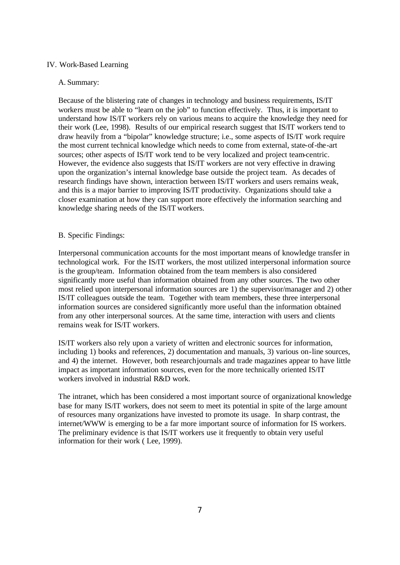# IV. Work-Based Learning

#### A. Summary:

Because of the blistering rate of changes in technology and business requirements, IS/IT workers must be able to "learn on the job" to function effectively. Thus, it is important to understand how IS/IT workers rely on various means to acquire the knowledge they need for their work (Lee, 1998). Results of our empirical research suggest that IS/IT workers tend to draw heavily from a "bipolar" knowledge structure; i.e., some aspects of IS/IT work require the most current technical knowledge which needs to come from external, state-of-the-art sources; other aspects of IS/IT work tend to be very localized and project team-centric. However, the evidence also suggests that IS/IT workers are not very effective in drawing upon the organization's internal knowledge base outside the project team. As decades of research findings have shown, interaction between IS/IT workers and users remains weak, and this is a major barrier to improving IS/IT productivity. Organizations should take a closer examination at how they can support more effectively the information searching and knowledge sharing needs of the IS/IT workers.

# B. Specific Findings:

Interpersonal communication accounts for the most important means of knowledge transfer in technological work. For the IS/IT workers, the most utilized interpersonal information source is the group/team. Information obtained from the team members is also considered significantly more useful than information obtained from any other sources. The two other most relied upon interpersonal information sources are 1) the supervisor/manager and 2) other IS/IT colleagues outside the team. Together with team members, these three interpersonal information sources are considered significantly more useful than the information obtained from any other interpersonal sources. At the same time, interaction with users and clients remains weak for IS/IT workers.

IS/IT workers also rely upon a variety of written and electronic sources for information, including 1) books and references, 2) documentation and manuals, 3) various on-line sources, and 4) the internet. However, both research journals and trade magazines appear to have little impact as important information sources, even for the more technically oriented IS/IT workers involved in industrial R&D work.

The intranet, which has been considered a most important source of organizational knowledge base for many IS/IT workers, does not seem to meet its potential in spite of the large amount of resources many organizations have invested to promote its usage. In sharp contrast, the internet/WWW is emerging to be a far more important source of information for IS workers. The preliminary evidence is that IS/IT workers use it frequently to obtain very useful information for their work ( Lee, 1999).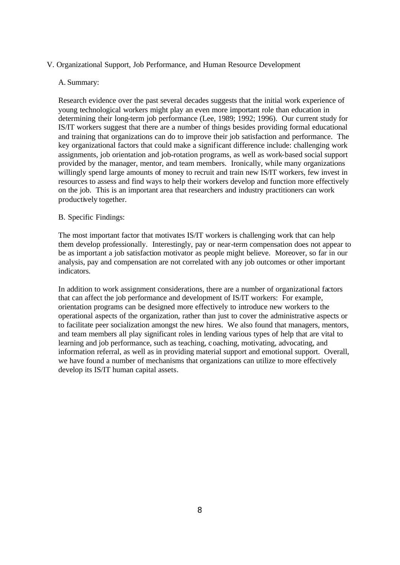# V. Organizational Support, Job Performance, and Human Resource Development

# A. Summary:

Research evidence over the past several decades suggests that the initial work experience of young technological workers might play an even more important role than education in determining their long-term job performance (Lee, 1989; 1992; 1996). Our current study for IS/IT workers suggest that there are a number of things besides providing formal educational and training that organizations can do to improve their job satisfaction and performance. The key organizational factors that could make a significant difference include: challenging work assignments, job orientation and job-rotation programs, as well as work-based social support provided by the manager, mentor, and team members. Ironically, while many organizations willingly spend large amounts of money to recruit and train new IS/IT workers, few invest in resources to assess and find ways to help their workers develop and function more effectively on the job. This is an important area that researchers and industry practitioners can work productively together.

# B. Specific Findings:

The most important factor that motivates IS/IT workers is challenging work that can help them develop professionally. Interestingly, pay or near-term compensation does not appear to be as important a job satisfaction motivator as people might believe. Moreover, so far in our analysis, pay and compensation are not correlated with any job outcomes or other important indicators.

In addition to work assignment considerations, there are a number of organizational factors that can affect the job performance and development of IS/IT workers: For example, orientation programs can be designed more effectively to introduce new workers to the operational aspects of the organization, rather than just to cover the administrative aspects or to facilitate peer socialization amongst the new hires. We also found that managers, mentors, and team members all play significant roles in lending various types of help that are vital to learning and job performance, such as teaching, c oaching, motivating, advocating, and information referral, as well as in providing material support and emotional support. Overall, we have found a number of mechanisms that organizations can utilize to more effectively develop its IS/IT human capital assets.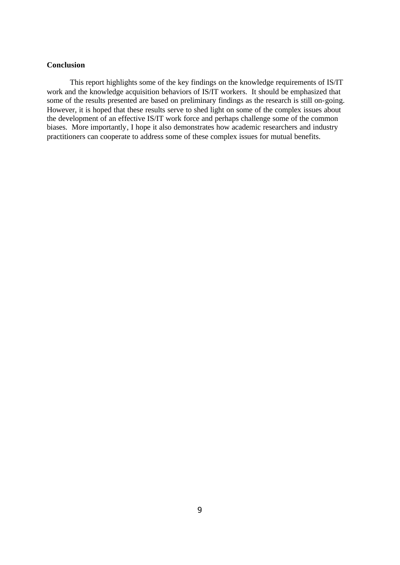# **Conclusion**

This report highlights some of the key findings on the knowledge requirements of IS/IT work and the knowledge acquisition behaviors of IS/IT workers. It should be emphasized that some of the results presented are based on preliminary findings as the research is still on-going. However, it is hoped that these results serve to shed light on some of the complex issues about the development of an effective IS/IT work force and perhaps challenge some of the common biases. More importantly, I hope it also demonstrates how academic researchers and industry practitioners can cooperate to address some of these complex issues for mutual benefits.